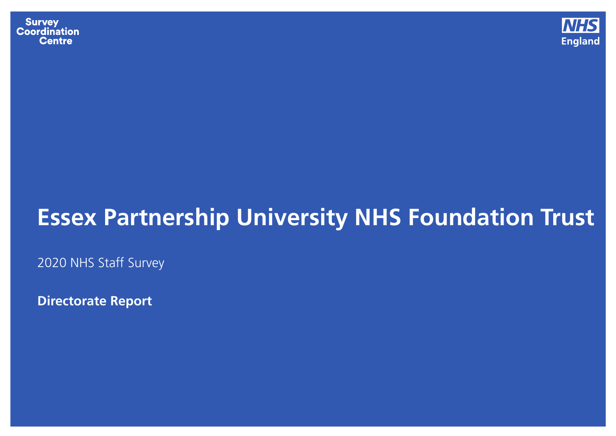**Survey Coordination Centre** 



## **Essex Partnership University NHS Foundation Trust**

2020 NHS Staff Survey

**Directorate Report**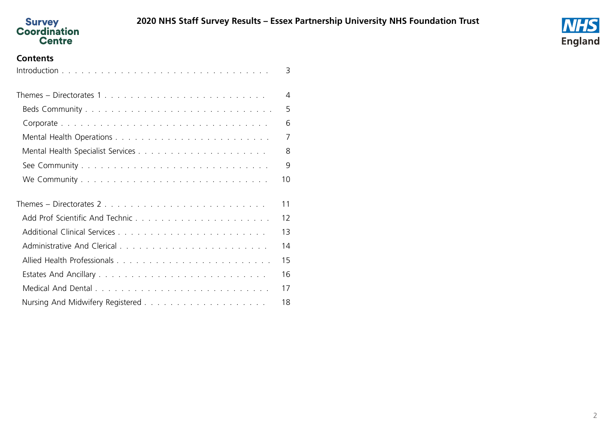



#### **Contents**

<span id="page-1-0"></span>

|                           | 3              |
|---------------------------|----------------|
| Themes – Directorates 1   | $\overline{4}$ |
|                           | 5              |
|                           | 6              |
|                           | $\overline{7}$ |
|                           | 8              |
|                           | 9              |
|                           | 10             |
| Themes – Directorates $2$ | 11             |
|                           | 12             |
|                           | 13             |
|                           | 14             |
|                           | 15             |
|                           | 16             |
|                           | 17             |
|                           | 18             |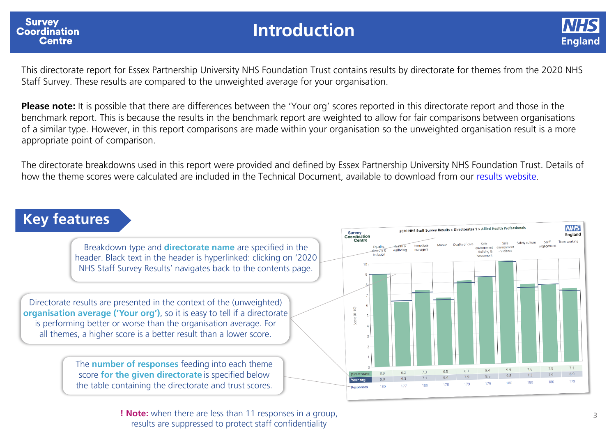<span id="page-2-0"></span>

### **Introduction**



This directorate report for Essex Partnership University NHS Foundation Trust contains results by directorate for themes from the 2020 NHS Staff Survey. These results are compared to the unweighted average for your organisation.

**Please note:** It is possible that there are differences between the 'Your org' scores reported in this directorate report and those in the benchmark report. This is because the results in the benchmark report are weighted to allow for fair comparisons between organisations of a similar type. However, in this report comparisons are made within your organisation so the unweighted organisation result is a more appropriate point of comparison.

The directorate breakdowns used in this report were provided and defined by Essex Partnership University NHS Foundation Trust. Details of how the theme scores were calculated are included in the Technical Document, available to download from our [results website.](http://www.nhsstaffsurveyresults.com/)

### **Key features**

Breakdown type and **directorate name** are specified in the header. Black text in the header is hyperlinked: clicking on '2020 NHS Staff Survey Results' navigates back to the contents page.

Directorate results are presented in the context of the (unweighted) **organisation average ('Your org')**, so it is easy to tell if a directorate is performing better or worse than the organisation average. For all themes, a higher score is a better result than a lower score.

> The **number of responses** feeding into each theme score **for the given directorate** is specified below the table containing the directorate and trust scores.



**! Note:** when there are less than 11 responses in a group, results are suppressed to protect staff confidentiality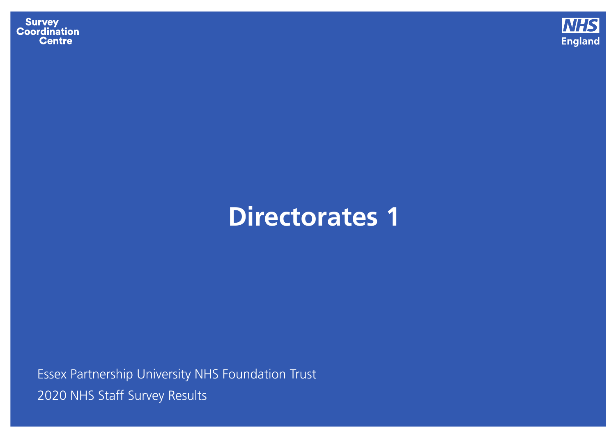**Survey<br>Coordination<br>Centre** 



# **Directorates 1**

<span id="page-3-0"></span>Essex Partnership University NHS Foundation Trust 2020 NHS Staff Survey [Results](#page-1-0)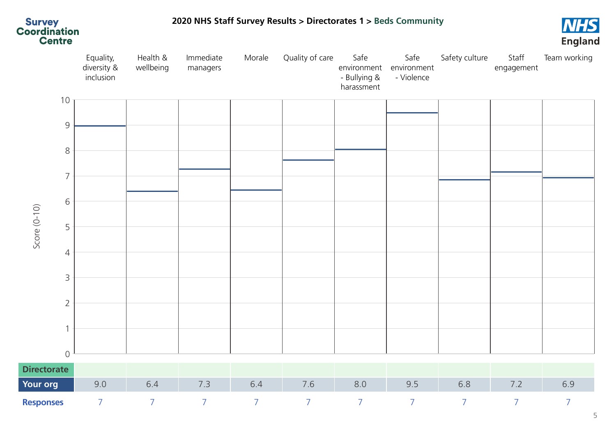<span id="page-4-0"></span>

**2020 NHS Staff Survey [Results](#page-1-0) > [Directorates](#page-3-0) 1 > Beds Community**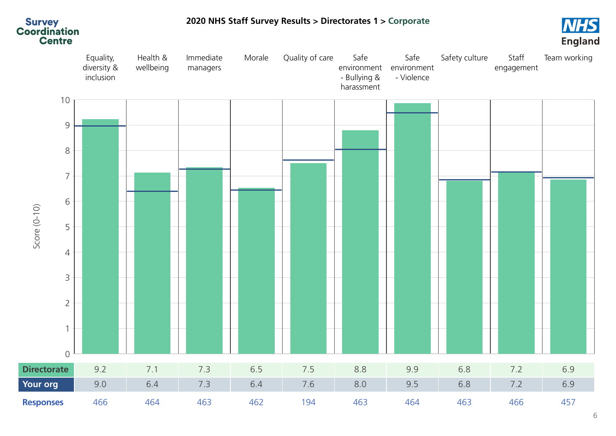<span id="page-5-0"></span>

#### **2020 NHS Staff Survey [Results](#page-1-0) > [Directorates](#page-3-0) 1 > Corporate**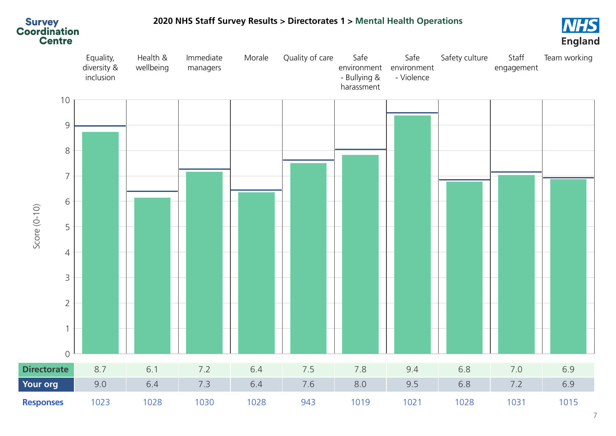

### <span id="page-6-0"></span>**2020 NHS Staff Survey [Results](#page-1-0) > [Directorates](#page-3-0) 1 > Mental Health Operations**

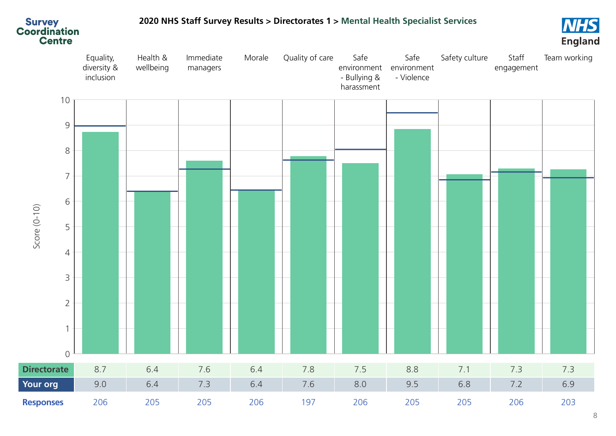<span id="page-7-0"></span>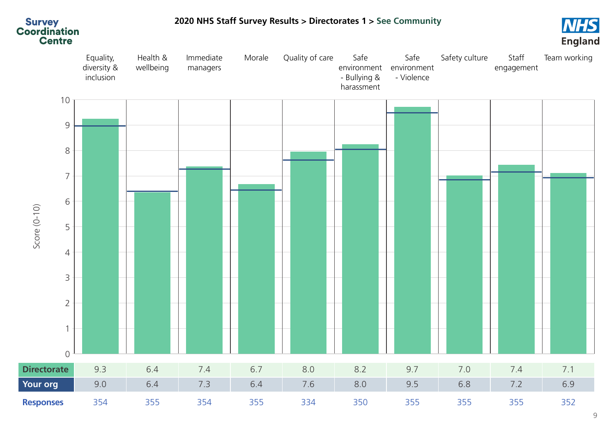<span id="page-8-0"></span>

#### **2020 NHS Staff Survey [Results](#page-1-0) > [Directorates](#page-3-0) 1 > See Community**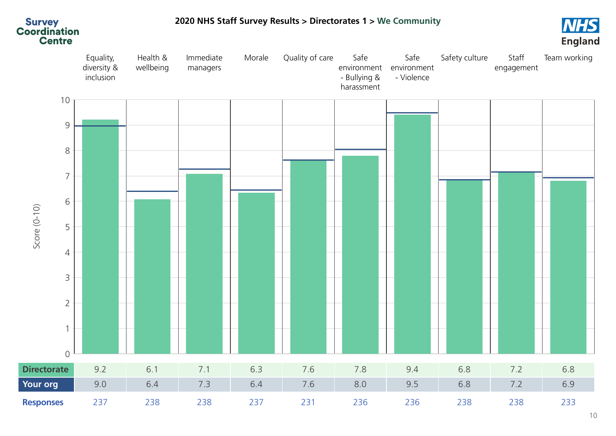<span id="page-9-0"></span>

#### **2020 NHS Staff Survey [Results](#page-1-0) > [Directorates](#page-3-0) 1 > We Community**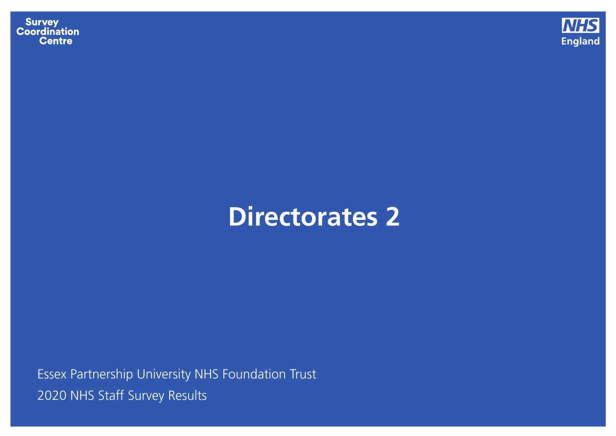**Survey<br>Coordination<br>Centre** 



## **Directorates 2**

<span id="page-10-0"></span>Essex Partnership University NHS Foundation Trust 2020 NHS Staff Survey [Results](#page-1-0)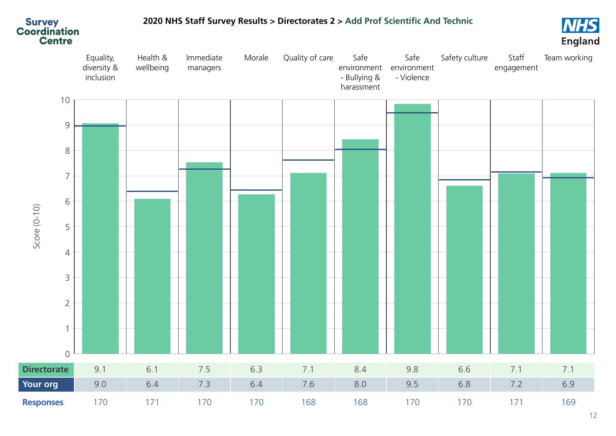<span id="page-11-0"></span>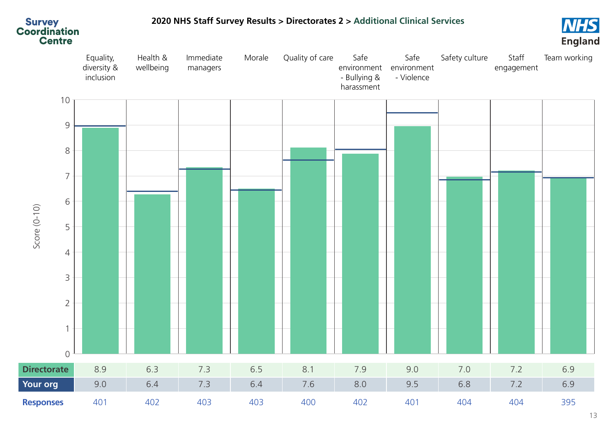

<span id="page-12-0"></span>**2020 NHS Staff Survey [Results](#page-1-0) > [Directorates](#page-10-0) 2 > Additional Clinical Services**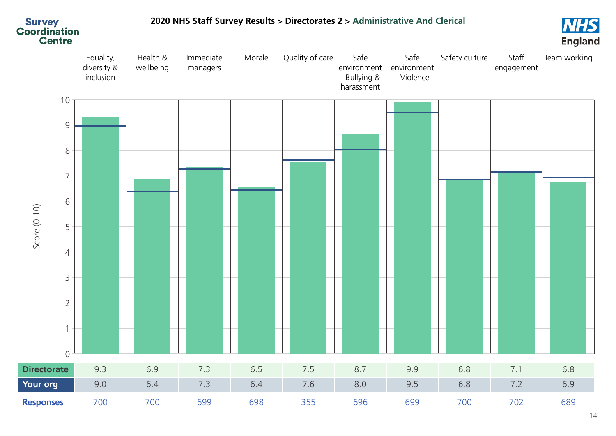

#### <span id="page-13-0"></span>**2020 NHS Staff Survey [Results](#page-1-0) > [Directorates](#page-10-0) 2 > Administrative And Clerical**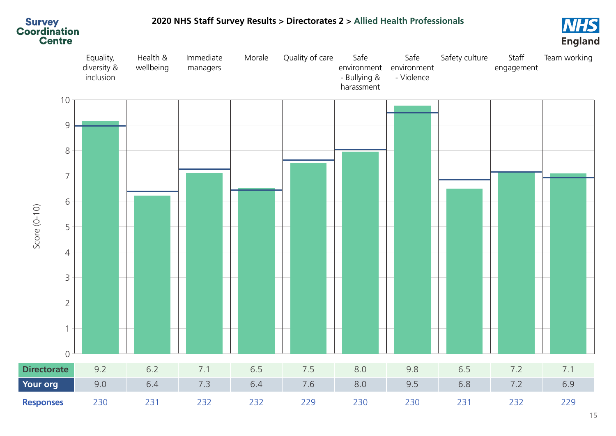<span id="page-14-0"></span>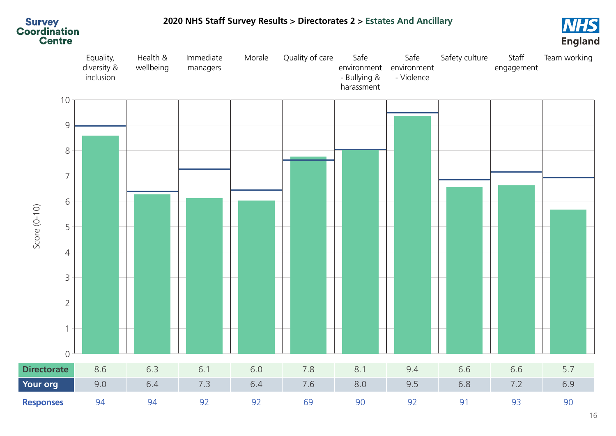

#### <span id="page-15-0"></span>**2020 NHS Staff Survey [Results](#page-1-0) > [Directorates](#page-10-0) 2 > Estates And Ancillary**

**NHS**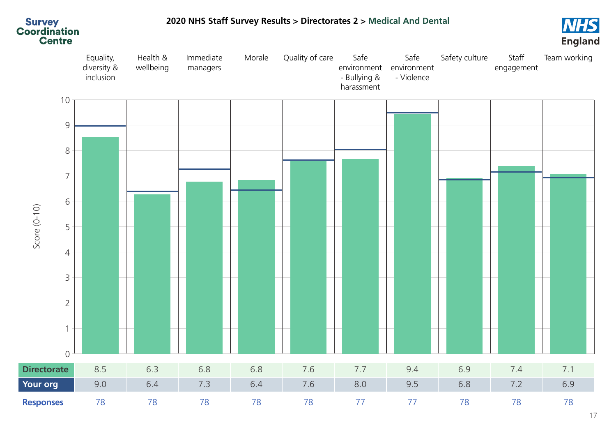<span id="page-16-0"></span>